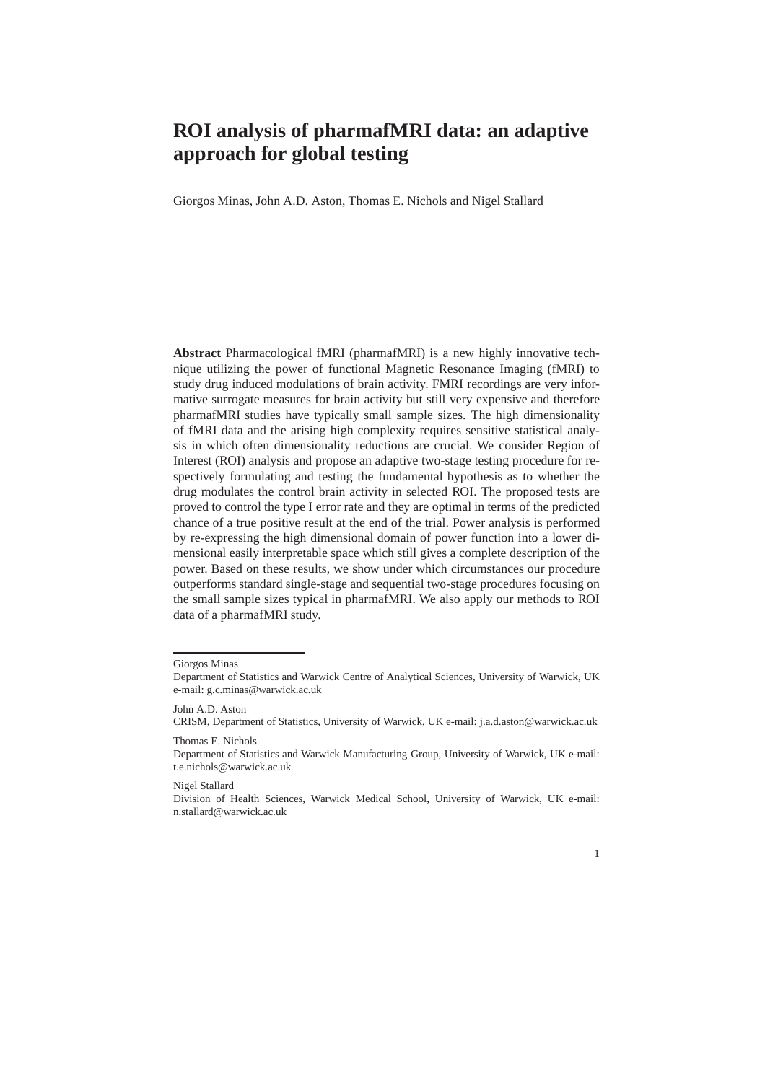# **ROI analysis of pharmafMRI data: an adaptive approach for global testing**

Giorgos Minas, John A.D. Aston, Thomas E. Nichols and Nigel Stallard

**Abstract** Pharmacological fMRI (pharmafMRI) is a new highly innovative technique utilizing the power of functional Magnetic Resonance Imaging (fMRI) to study drug induced modulations of brain activity. FMRI recordings are very informative surrogate measures for brain activity but still very expensive and therefore pharmafMRI studies have typically small sample sizes. The high dimensionality of fMRI data and the arising high complexity requires sensitive statistical analysis in which often dimensionality reductions are crucial. We consider Region of Interest (ROI) analysis and propose an adaptive two-stage testing procedure for respectively formulating and testing the fundamental hypothesis as to whether the drug modulates the control brain activity in selected ROI. The proposed tests are proved to control the type I error rate and they are optimal in terms of the predicted chance of a true positive result at the end of the trial. Power analysis is performed by re-expressing the high dimensional domain of power function into a lower dimensional easily interpretable space which still gives a complete description of the power. Based on these results, we show under which circumstances our procedure outperforms standard single-stage and sequential two-stage procedures focusing on the small sample sizes typical in pharmafMRI. We also apply our methods to ROI data of a pharmafMRI study.

Nigel Stallard

Division of Health Sciences, Warwick Medical School, University of Warwick, UK e-mail: n.stallard@warwick.ac.uk



Giorgos Minas

Department of Statistics and Warwick Centre of Analytical Sciences, University of Warwick, UK e-mail: g.c.minas@warwick.ac.uk

John A.D. Aston CRISM, Department of Statistics, University of Warwick, UK e-mail: j.a.d.aston@warwick.ac.uk

Thomas E. Nichols

Department of Statistics and Warwick Manufacturing Group, University of Warwick, UK e-mail: t.e.nichols@warwick.ac.uk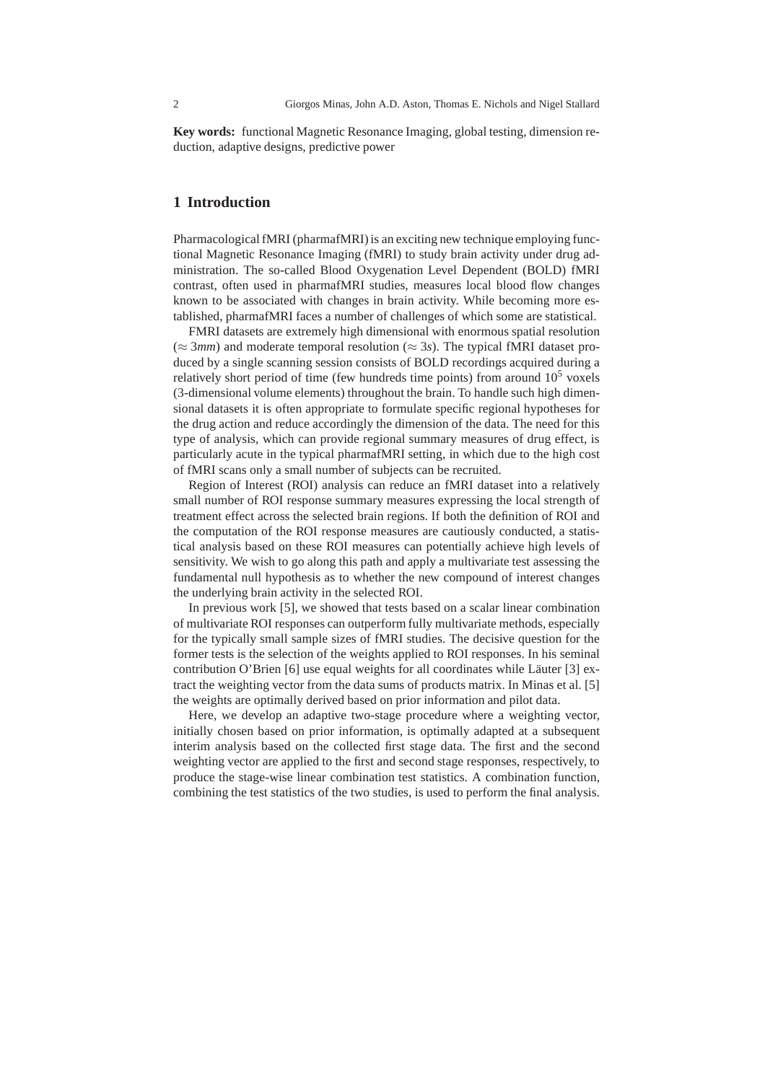**Key words:** functional Magnetic Resonance Imaging, global testing, dimension reduction, adaptive designs, predictive power

# **1 Introduction**

Pharmacological fMRI (pharmafMRI) is an exciting new technique employing functional Magnetic Resonance Imaging (fMRI) to study brain activity under drug administration. The so-called Blood Oxygenation Level Dependent (BOLD) fMRI contrast, often used in pharmafMRI studies, measures local blood flow changes known to be associated with changes in brain activity. While becoming more established, pharmafMRI faces a number of challenges of which some are statistical.

FMRI datasets are extremely high dimensional with enormous spatial resolution  $(\approx 3 \text{mm})$  and moderate temporal resolution ( $\approx 3 \text{ s}$ ). The typical fMRI dataset produced by a single scanning session consists of BOLD recordings acquired during a relatively short period of time (few hundreds time points) from around  $10<sup>5</sup>$  voxels (3-dimensional volume elements) throughout the brain. To handle such high dimensional datasets it is often appropriate to formulate specific regional hypotheses for the drug action and reduce accordingly the dimension of the data. The need for this type of analysis, which can provide regional summary measures of drug effect, is particularly acute in the typical pharmafMRI setting, in which due to the high cost of fMRI scans only a small number of subjects can be recruited.

Region of Interest (ROI) analysis can reduce an fMRI dataset into a relatively small number of ROI response summary measures expressing the local strength of treatment effect across the selected brain regions. If both the definition of ROI and the computation of the ROI response measures are cautiously conducted, a statistical analysis based on these ROI measures can potentially achieve high levels of sensitivity. We wish to go along this path and apply a multivariate test assessing the fundamental null hypothesis as to whether the new compound of interest changes the underlying brain activity in the selected ROI.

In previous work [5], we showed that tests based on a scalar linear combination of multivariate ROI responses can outperform fully multivariate methods, especially for the typically small sample sizes of fMRI studies. The decisive question for the former tests is the selection of the weights applied to ROI responses. In his seminal contribution O'Brien [6] use equal weights for all coordinates while Läuter [3] extract the weighting vector from the data sums of products matrix. In Minas et al. [5] the weights are optimally derived based on prior information and pilot data.

Here, we develop an adaptive two-stage procedure where a weighting vector, initially chosen based on prior information, is optimally adapted at a subsequent interim analysis based on the collected first stage data. The first and the second weighting vector are applied to the first and second stage responses, respectively, to produce the stage-wise linear combination test statistics. A combination function, combining the test statistics of the two studies, is used to perform the final analysis.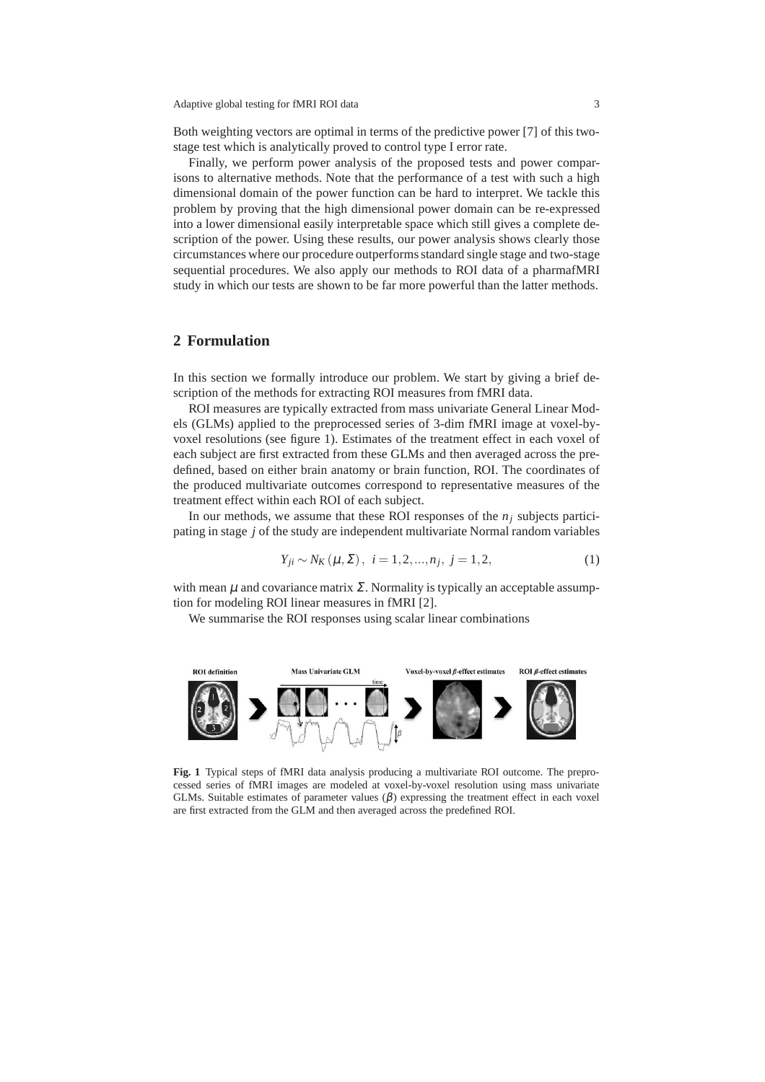Adaptive global testing for fMRI ROI data 3

Both weighting vectors are optimal in terms of the predictive power [7] of this twostage test which is analytically proved to control type I error rate.

Finally, we perform power analysis of the proposed tests and power comparisons to alternative methods. Note that the performance of a test with such a high dimensional domain of the power function can be hard to interpret. We tackle this problem by proving that the high dimensional power domain can be re-expressed into a lower dimensional easily interpretable space which still gives a complete description of the power. Using these results, our power analysis shows clearly those circumstances where our procedure outperforms standard single stage and two-stage sequential procedures. We also apply our methods to ROI data of a pharmafMRI study in which our tests are shown to be far more powerful than the latter methods.

### **2 Formulation**

In this section we formally introduce our problem. We start by giving a brief description of the methods for extracting ROI measures from fMRI data.

ROI measures are typically extracted from mass univariate General Linear Models (GLMs) applied to the preprocessed series of 3-dim fMRI image at voxel-byvoxel resolutions (see figure 1). Estimates of the treatment effect in each voxel of each subject are first extracted from these GLMs and then averaged across the predefined, based on either brain anatomy or brain function, ROI. The coordinates of the produced multivariate outcomes correspond to representative measures of the treatment effect within each ROI of each subject.

In our methods, we assume that these ROI responses of the  $n<sub>i</sub>$  subjects participating in stage *j* of the study are independent multivariate Normal random variables

$$
Y_{ji} \sim N_K(\mu, \Sigma), \ i = 1, 2, ..., n_j, \ j = 1, 2,
$$
 (1)

with mean  $\mu$  and covariance matrix  $\Sigma$ . Normality is typically an acceptable assumption for modeling ROI linear measures in fMRI [2].

We summarise the ROI responses using scalar linear combinations



**Fig. 1** Typical steps of fMRI data analysis producing a multivariate ROI outcome. The preprocessed series of fMRI images are modeled at voxel-by-voxel resolution using mass univariate GLMs. Suitable estimates of parameter values  $(\beta)$  expressing the treatment effect in each voxel are first extracted from the GLM and then averaged across the predefined ROI.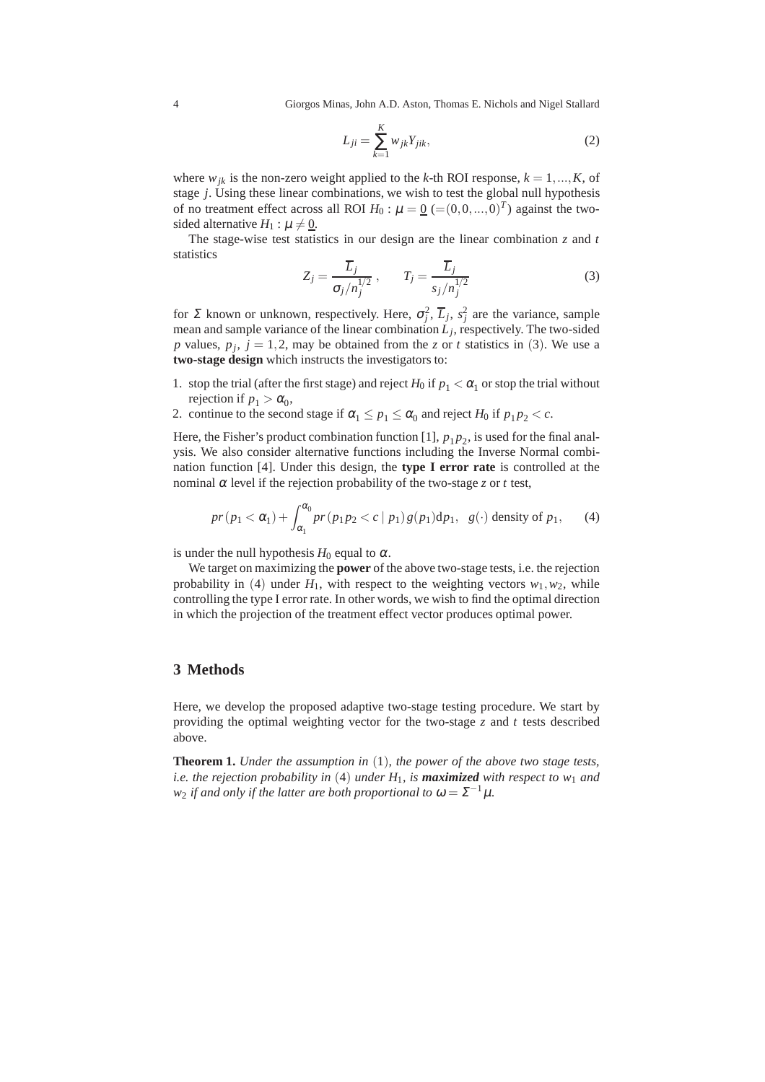4 Giorgos Minas, John A.D. Aston, Thomas E. Nichols and Nigel Stallard

$$
L_{ji} = \sum_{k=1}^{K} w_{jk} Y_{jik},\tag{2}
$$

where  $w_{jk}$  is the non-zero weight applied to the *k*-th ROI response,  $k = 1, ..., K$ , of stage *j*. Using these linear combinations, we wish to test the global null hypothesis of no treatment effect across all ROI  $H_0: \mu = \underline{0}$  (=(0,0,...,0)<sup>T</sup>) against the twosided alternative  $H_1$  :  $\mu \neq 0$ .

The stage-wise test statistics in our design are the linear combination  $z$  and  $t$ statistics

$$
Z_j = \frac{\overline{L}_j}{\sigma_j/n_j^{1/2}}, \qquad T_j = \frac{\overline{L}_j}{s_j/n_j^{1/2}} \tag{3}
$$

for  $\Sigma$  known or unknown, respectively. Here,  $\sigma_j^2$ ,  $\overline{L}_j$ ,  $s_j^2$  are the variance, sample mean and sample variance of the linear combination *L<sup>j</sup>* , respectively. The two-sided *p* values,  $p_j$ ,  $j = 1, 2$ , may be obtained from the *z* or *t* statistics in (3). We use a **two-stage design** which instructs the investigators to:

- 1. stop the trial (after the first stage) and reject  $H_0$  if  $p_1 < \alpha_1$  or stop the trial without rejection if  $p_1 > \alpha_0$ ,
- 2. continue to the second stage if  $\alpha_1 \leq p_1 \leq \alpha_0$  and reject  $H_0$  if  $p_1p_2 < c$ .

Here, the Fisher's product combination function [1],  $p_1p_2$ , is used for the final analysis. We also consider alternative functions including the Inverse Normal combination function [4]. Under this design, the **type I error rate** is controlled at the nominal  $\alpha$  level if the rejection probability of the two-stage *z* or *t* test,

$$
pr(p_1 < \alpha_1) + \int_{\alpha_1}^{\alpha_0} pr(p_1 p_2 < c \mid p_1) g(p_1) \mathrm{d} p_1, \quad g(\cdot) \text{ density of } p_1,\tag{4}
$$

is under the null hypothesis  $H_0$  equal to  $\alpha$ .

We target on maximizing the **power** of the above two-stage tests, i.e. the rejection probability in (4) under  $H_1$ , with respect to the weighting vectors  $w_1, w_2$ , while controlling the type I error rate. In other words, we wish to find the optimal direction in which the projection of the treatment effect vector produces optimal power.

## **3 Methods**

Here, we develop the proposed adaptive two-stage testing procedure. We start by providing the optimal weighting vector for the two-stage *z* and *t* tests described above.

**Theorem 1.** *Under the assumption in* (1)*, the power of the above two stage tests, i.e. the rejection probability in* (4) *under*  $H_1$ *, is maximized with respect to*  $w_1$  *and*  $w_2$  *if and only if the latter are both proportional to*  $\omega = \Sigma^{-1} \mu$ .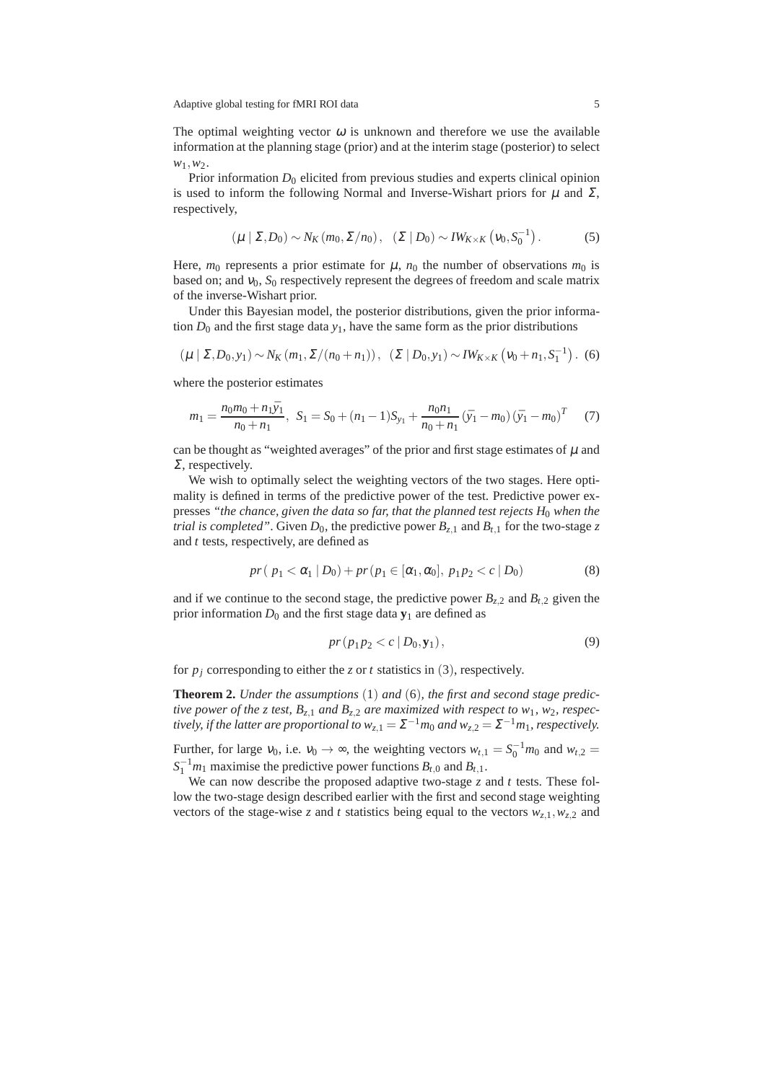Adaptive global testing for fMRI ROI data 5

The optimal weighting vector  $\omega$  is unknown and therefore we use the available information at the planning stage (prior) and at the interim stage (posterior) to select  $w_1, w_2.$ 

Prior information  $D_0$  elicited from previous studies and experts clinical opinion is used to inform the following Normal and Inverse-Wishart priors for  $\mu$  and  $\Sigma$ , respectively,

$$
\left(\mu \mid \Sigma, D_0\right) \sim N_K\left(m_0, \Sigma/n_0\right), \quad \left(\Sigma \mid D_0\right) \sim I W_{K \times K}\left(v_0, S_0^{-1}\right). \tag{5}
$$

Here,  $m_0$  represents a prior estimate for  $\mu$ ,  $n_0$  the number of observations  $m_0$  is based on; and  $v_0$ ,  $S_0$  respectively represent the degrees of freedom and scale matrix of the inverse-Wishart prior.

Under this Bayesian model, the posterior distributions, given the prior information  $D_0$  and the first stage data  $y_1$ , have the same form as the prior distributions

$$
(\mu \mid \Sigma, D_0, y_1) \sim N_K(m_1, \Sigma/(n_0 + n_1)), \ \ (\Sigma \mid D_0, y_1) \sim I W_{K \times K} \left( v_0 + n_1, S_1^{-1} \right). \tag{6}
$$

where the posterior estimates

$$
m_1 = \frac{n_0 m_0 + n_1 \bar{y}_1}{n_0 + n_1}, \ \ S_1 = S_0 + (n_1 - 1)S_{y_1} + \frac{n_0 n_1}{n_0 + n_1} (\bar{y}_1 - m_0) (\bar{y}_1 - m_0)^T \tag{7}
$$

can be thought as "weighted averages" of the prior and first stage estimates of  $\mu$  and  $\Sigma$ , respectively.

We wish to optimally select the weighting vectors of the two stages. Here optimality is defined in terms of the predictive power of the test. Predictive power expresses *"the chance, given the data so far, that the planned test rejects H*<sup>0</sup> *when the trial is completed"*. Given  $D_0$ , the predictive power  $B_{z,1}$  and  $B_{t,1}$  for the two-stage  $z$ and *t* tests, respectively, are defined as

$$
pr(p_1 < \alpha_1 | D_0) + pr(p_1 \in [\alpha_1, \alpha_0], p_1 p_2 < c | D_0)
$$
 (8)

and if we continue to the second stage, the predictive power  $B_{7,2}$  and  $B_{t,2}$  given the prior information  $D_0$  and the first stage data  $\mathbf{y}_1$  are defined as

$$
pr(p_1p_2 < c | D_0, y_1), \qquad (9)
$$

for  $p_j$  corresponding to either the *z* or *t* statistics in (3), respectively.

**Theorem 2.** *Under the assumptions* (1) *and* (6)*, the first and second stage predictive power of the z test,*  $B_{z,1}$  *and*  $B_{z,2}$  *are maximized with respect to w*<sub>1</sub>*, w*<sub>2*, respec-*</sub> *tively, if the latter are proportional to*  $w_{z,1} = \Sigma^{-1} m_0$  *and*  $w_{z,2} = \Sigma^{-1} m_1$ *, respectively.* 

Further, for large  $v_0$ , i.e.  $v_0 \rightarrow \infty$ , the weighting vectors  $w_{t,1} = S_0^{-1} m_0$  and  $w_{t,2} =$  $S_1^{-1}m_1$  maximise the predictive power functions  $B_{t,0}$  and  $B_{t,1}$ .

We can now describe the proposed adaptive two-stage *z* and *t* tests. These follow the two-stage design described earlier with the first and second stage weighting vectors of the stage-wise *z* and *t* statistics being equal to the vectors  $w_{z,1}, w_{z,2}$  and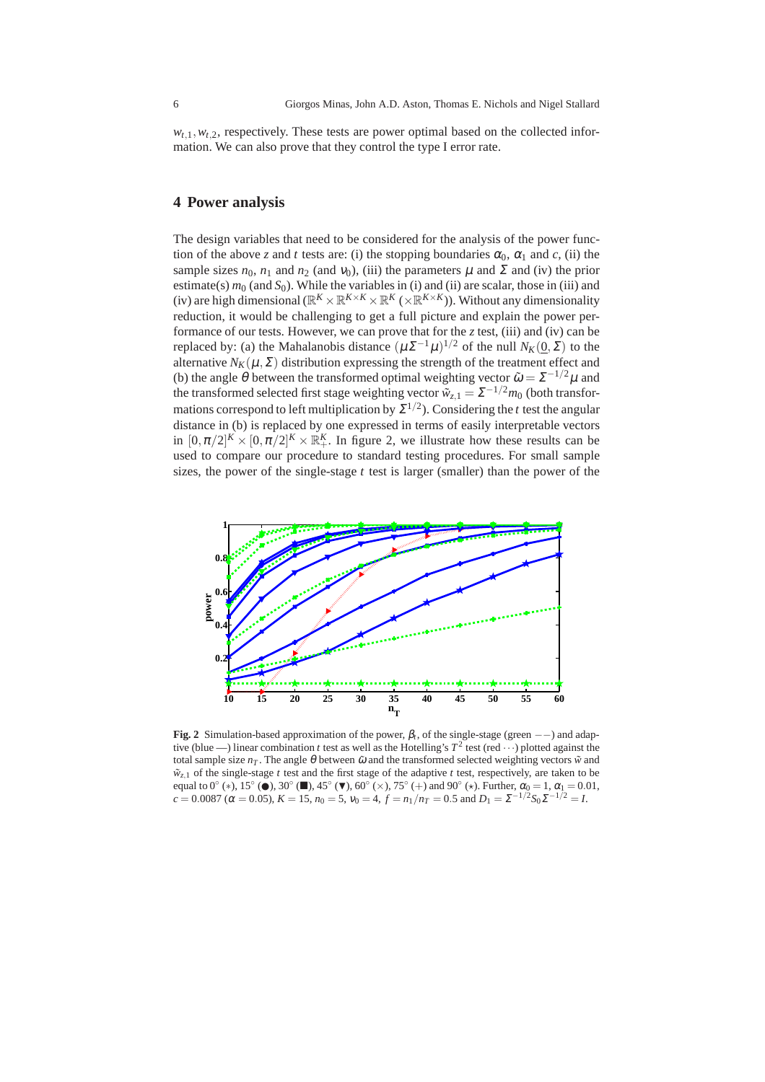$w_{t,1}, w_{t,2}$ , respectively. These tests are power optimal based on the collected information. We can also prove that they control the type I error rate.

## **4 Power analysis**

The design variables that need to be considered for the analysis of the power function of the above *z* and *t* tests are: (i) the stopping boundaries  $\alpha_0$ ,  $\alpha_1$  and *c*, (ii) the sample sizes  $n_0$ ,  $n_1$  and  $n_2$  (and  $v_0$ ), (iii) the parameters  $\mu$  and  $\Sigma$  and (iv) the prior estimate(s)  $m_0$  (and  $S_0$ ). While the variables in (i) and (ii) are scalar, those in (iii) and (iv) are high dimensional ( $\mathbb{R}^K \times \mathbb{R}^{K \times K} \times \mathbb{R}^K$  ( $\times \mathbb{R}^{K \times K}$ )). Without any dimensionality reduction, it would be challenging to get a full picture and explain the power performance of our tests. However, we can prove that for the *z* test, (iii) and (iv) can be replaced by: (a) the Mahalanobis distance  $(\mu \Sigma^{-1} \mu)^{1/2}$  of the null  $N_K(\underline{0}, \Sigma)$  to the alternative  $N_K(\mu, \Sigma)$  distribution expressing the strength of the treatment effect and (b) the angle  $\theta$  between the transformed optimal weighting vector  $\tilde{\omega} = \Sigma^{-1/2} \mu$  and the transformed selected first stage weighting vector  $\tilde{w}_{z,1} = \Sigma^{-1/2} m_0$  (both transformations correspond to left multiplication by  $\Sigma^{1/2}$ ). Considering the *t* test the angular distance in (b) is replaced by one expressed in terms of easily interpretable vectors in  $[0, \pi/2]^K \times [0, \pi/2]^K \times \mathbb{R}^K_+$ . In figure 2, we illustrate how these results can be used to compare our procedure to standard testing procedures. For small sample sizes, the power of the single-stage  $t$  test is larger (smaller) than the power of the



**Fig. 2** Simulation-based approximation of the power,  $\beta_t$ , of the single-stage (green  $--$ ) and adaptive (blue —) linear combination *t* test as well as the Hotelling's  $T^2$  test (red  $\cdots$ ) plotted against the total sample size  $n<sub>T</sub>$ . The angle  $\theta$  between  $\tilde{\omega}$  and the transformed selected weighting vectors  $\tilde{w}$  and  $\tilde{w}_{z,1}$  of the single-stage *t* test and the first stage of the adaptive *t* test, respectively, are taken to be equal to 0° (\*), 15° (●), 30° (■), 45° (▼), 60° (×), 75° (+) and 90° (\*). Further,  $\alpha_0 = 1$ ,  $\alpha_1 = 0.01$ ,  $c = 0.0087$  ( $\alpha = 0.05$ ),  $K = 15$ ,  $n_0 = 5$ ,  $v_0 = 4$ ,  $f = n_1/n_T = 0.5$  and  $D_1 = \Sigma^{-1/2} S_0 \Sigma^{-1/2} = I$ .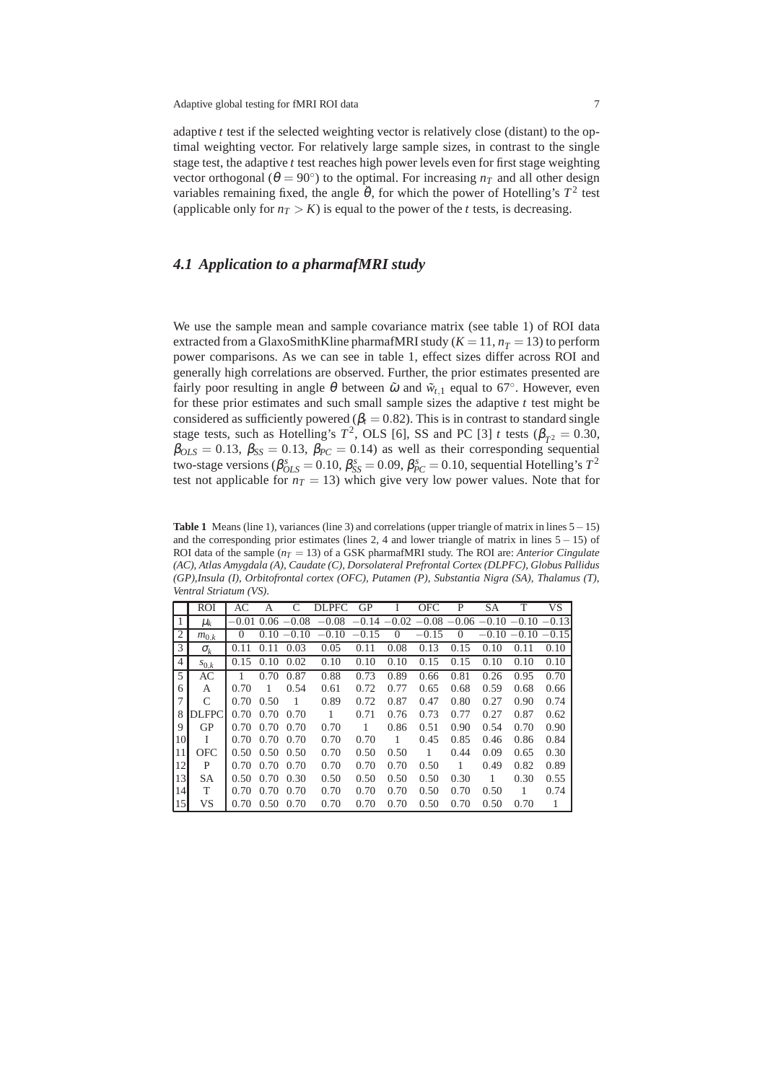Adaptive global testing for fMRI ROI data 7

adaptive *t* test if the selected weighting vector is relatively close (distant) to the optimal weighting vector. For relatively large sample sizes, in contrast to the single stage test, the adaptive *t* test reaches high power levels even for first stage weighting vector orthogonal ( $\theta = 90^{\circ}$ ) to the optimal. For increasing  $n<sub>T</sub>$  and all other design variables remaining fixed, the angle  $\ddot{\theta}$ , for which the power of Hotelling's  $T^2$  test (applicable only for  $n<sub>T</sub> > K$ ) is equal to the power of the *t* tests, is decreasing.

# *4.1 Application to a pharmafMRI study*

We use the sample mean and sample covariance matrix (see table 1) of ROI data extracted from a GlaxoSmithKline pharmafMRI study ( $K = 11$ ,  $n<sub>T</sub> = 13$ ) to perform power comparisons. As we can see in table 1, effect sizes differ across ROI and generally high correlations are observed. Further, the prior estimates presented are fairly poor resulting in angle  $\theta$  between  $\tilde{\omega}$  and  $\tilde{w}_{t,1}$  equal to 67°. However, even for these prior estimates and such small sample sizes the adaptive *t* test might be considered as sufficiently powered ( $\beta_t = 0.82$ ). This is in contrast to standard single stage tests, such as Hotelling's  $T^2$ , OLS [6], SS and PC [3] *t* tests ( $\beta_{T^2} = 0.30$ ,  $\beta_{OLS} = 0.13$ ,  $\beta_{SS} = 0.13$ ,  $\beta_{PC} = 0.14$ ) as well as their corresponding sequential two-stage versions ( $\beta_{OLS}^s = 0.10$ ,  $\beta_{SS}^s = 0.09$ ,  $\beta_{PC}^s = 0.10$ , sequential Hotelling's  $T^2$ test not applicable for  $n<sub>T</sub> = 13$ ) which give very low power values. Note that for

**Table 1** Means (line 1), variances (line 3) and correlations (upper triangle of matrix in lines 5−15) and the corresponding prior estimates (lines 2, 4 and lower triangle of matrix in lines 5− 15) of ROI data of the sample (*n<sup>T</sup>* = 13) of a GSK pharmafMRI study. The ROI are: *Anterior Cingulate (AC), Atlas Amygdala (A), Caudate (C), Dorsolateral Prefrontal Cortex (DLPFC), Globus Pallidus (GP),Insula (I), Orbitofrontal cortex (OFC), Putamen (P), Substantia Nigra (SA), Thalamus (T), Ventral Striatum (VS)*.

|                | ROI          | AC    | А    |               | <b>DLPFC</b> | GP      |          | OFC                                 | P        | <b>SA</b> | Т       | VS      |
|----------------|--------------|-------|------|---------------|--------------|---------|----------|-------------------------------------|----------|-----------|---------|---------|
| 1              | $\mu_k$      | -0.01 |      | $0.06 - 0.08$ | $-0.08$      | $-0.14$ |          | $-0.02 - 0.08 - 0.06 - 0.10 - 0.10$ |          |           |         | $-0.13$ |
| $\overline{2}$ | $m_{0,k}$    | 0     | 0.10 | $-0.10$       | $-0.10$      | $-0.15$ | $\Omega$ | $-0.15$                             | $\Omega$ | $-0.10$   | $-0.10$ | $-0.15$ |
| 3              | $\sigma_{k}$ | 0.11  | 0.11 | 0.03          | 0.05         | 0.11    | 0.08     | 0.13                                | 0.15     | 0.10      | 0.11    | 0.10    |
| $\overline{4}$ | $s_{0,k}$    | 0.15  | 0.10 | 0.02          | 0.10         | 0.10    | 0.10     | 0.15                                | 0.15     | 0.10      | 0.10    | 0.10    |
| 5              | AC           |       | 0.70 | 0.87          | 0.88         | 0.73    | 0.89     | 0.66                                | 0.81     | 0.26      | 0.95    | 0.70    |
| 6              | A            | 0.70  |      | 0.54          | 0.61         | 0.72    | 0.77     | 0.65                                | 0.68     | 0.59      | 0.68    | 0.66    |
| 7              | C            | 0.70  | 0.50 | 1             | 0.89         | 0.72    | 0.87     | 0.47                                | 0.80     | 0.27      | 0.90    | 0.74    |
| 8              | DL FPC       | 0.70  | 0.70 | 0.70          |              | 0.71    | 0.76     | 0.73                                | 0.77     | 0.27      | 0.87    | 0.62    |
| 9              | GP           | 0.70  | 0.70 | 0.70          | 0.70         | 1       | 0.86     | 0.51                                | 0.90     | 0.54      | 0.70    | 0.90    |
| 10             | I            | 0.70  | 0.70 | 0.70          | 0.70         | 0.70    | 1        | 0.45                                | 0.85     | 0.46      | 0.86    | 0.84    |
| 11             | OFC          | 0.50  | 0.50 | 0.50          | 0.70         | 0.50    | 0.50     | 1                                   | 0.44     | 0.09      | 0.65    | 0.30    |
| 12             | P            | 0.70  | 0.70 | 0.70          | 0.70         | 0.70    | 0.70     | 0.50                                | 1        | 0.49      | 0.82    | 0.89    |
| 13             | <b>SA</b>    | 0.50  | 0.70 | 0.30          | 0.50         | 0.50    | 0.50     | 0.50                                | 0.30     | 1         | 0.30    | 0.55    |
| 14             | т            | 0.70  | 0.70 | 0.70          | 0.70         | 0.70    | 0.70     | 0.50                                | 0.70     | 0.50      | 1       | 0.74    |
| 15             | VS           | 0.70  | 0.50 | 0.70          | 0.70         | 0.70    | 0.70     | 0.50                                | 0.70     | 0.50      | 0.70    | 1       |